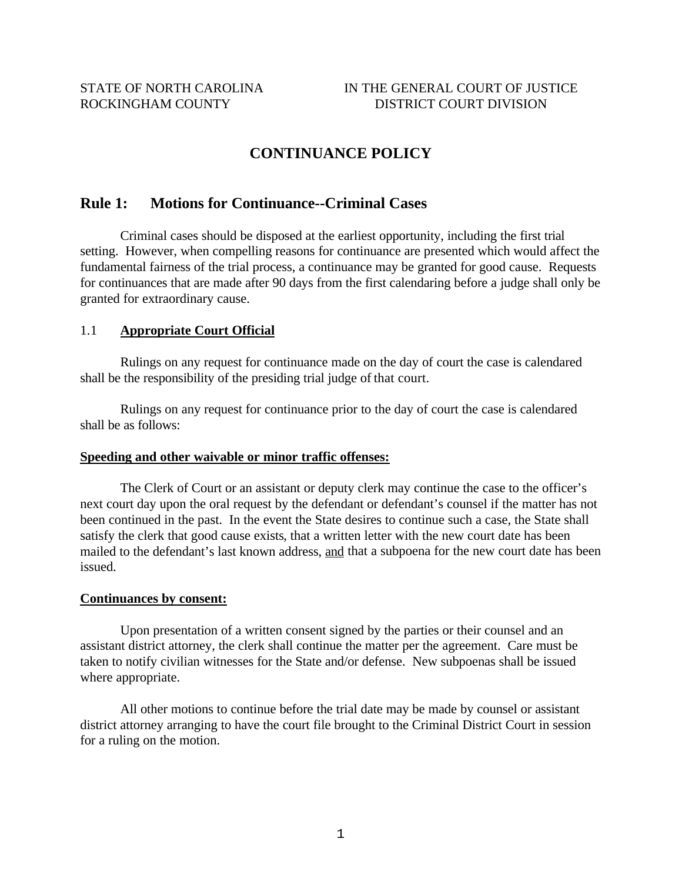# **CONTINUANCE POLICY**

# **Rule 1: Motions for Continuance--Criminal Cases**

Criminal cases should be disposed at the earliest opportunity, including the first trial setting. However, when compelling reasons for continuance are presented which would affect the fundamental fairness of the trial process, a continuance may be granted for good cause. Requests for continuances that are made after 90 days from the first calendaring before a judge shall only be granted for extraordinary cause.

#### 1.1 **Appropriate Court Official**

Rulings on any request for continuance made on the day of court the case is calendared shall be the responsibility of the presiding trial judge of that court.

Rulings on any request for continuance prior to the day of court the case is calendared shall be as follows:

#### **Speeding and other waivable or minor traffic offenses:**

The Clerk of Court or an assistant or deputy clerk may continue the case to the officer's next court day upon the oral request by the defendant or defendant's counsel if the matter has not been continued in the past. In the event the State desires to continue such a case, the State shall satisfy the clerk that good cause exists, that a written letter with the new court date has been mailed to the defendant's last known address, and that a subpoena for the new court date has been issued.

#### **Continuances by consent:**

Upon presentation of a written consent signed by the parties or their counsel and an assistant district attorney, the clerk shall continue the matter per the agreement. Care must be taken to notify civilian witnesses for the State and/or defense. New subpoenas shall be issued where appropriate.

All other motions to continue before the trial date may be made by counsel or assistant district attorney arranging to have the court file brought to the Criminal District Court in session for a ruling on the motion.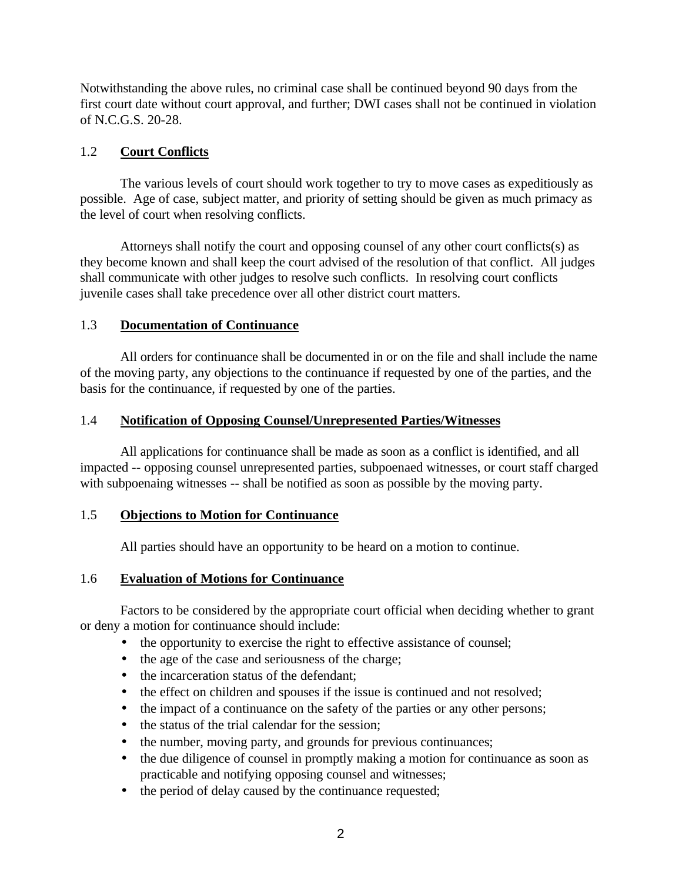Notwithstanding the above rules, no criminal case shall be continued beyond 90 days from the first court date without court approval, and further; DWI cases shall not be continued in violation of N.C.G.S. 20-28.

## 1.2 **Court Conflicts**

The various levels of court should work together to try to move cases as expeditiously as possible. Age of case, subject matter, and priority of setting should be given as much primacy as the level of court when resolving conflicts.

Attorneys shall notify the court and opposing counsel of any other court conflicts(s) as they become known and shall keep the court advised of the resolution of that conflict. All judges shall communicate with other judges to resolve such conflicts. In resolving court conflicts juvenile cases shall take precedence over all other district court matters.

## 1.3 **Documentation of Continuance**

All orders for continuance shall be documented in or on the file and shall include the name of the moving party, any objections to the continuance if requested by one of the parties, and the basis for the continuance, if requested by one of the parties.

# 1.4 **Notification of Opposing Counsel/Unrepresented Parties/Witnesses**

All applications for continuance shall be made as soon as a conflict is identified, and all impacted -- opposing counsel unrepresented parties, subpoenaed witnesses, or court staff charged with subpoenaing witnesses -- shall be notified as soon as possible by the moving party.

## 1.5 **Objections to Motion for Continuance**

All parties should have an opportunity to be heard on a motion to continue.

## 1.6 **Evaluation of Motions for Continuance**

Factors to be considered by the appropriate court official when deciding whether to grant or deny a motion for continuance should include:

- the opportunity to exercise the right to effective assistance of counsel;
- the age of the case and seriousness of the charge;
- the incarceration status of the defendant:
- the effect on children and spouses if the issue is continued and not resolved;
- the impact of a continuance on the safety of the parties or any other persons;
- the status of the trial calendar for the session;
- the number, moving party, and grounds for previous continuances;
- the due diligence of counsel in promptly making a motion for continuance as soon as practicable and notifying opposing counsel and witnesses;
- the period of delay caused by the continuance requested;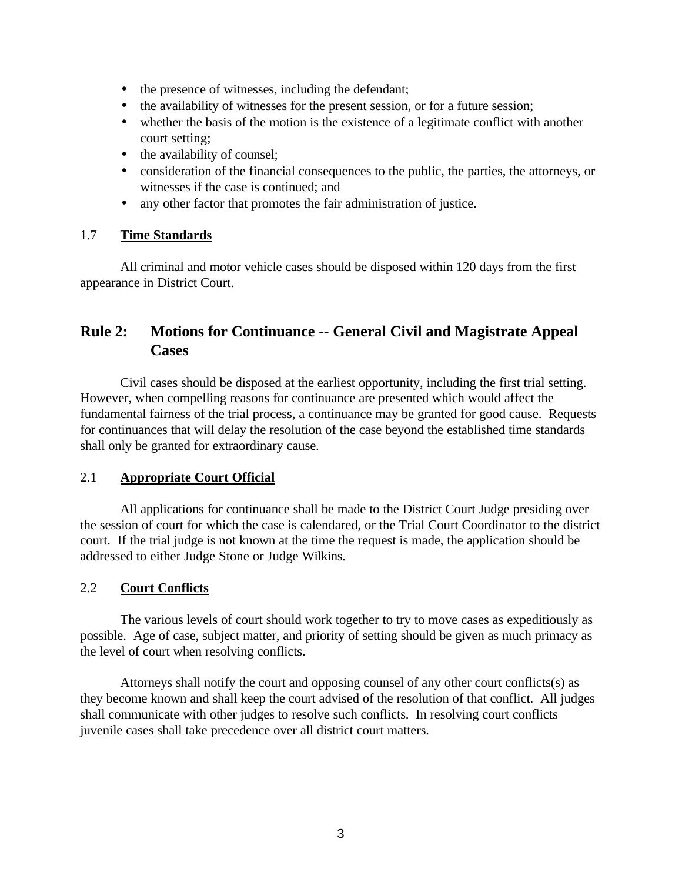- the presence of witnesses, including the defendant;
- the availability of witnesses for the present session, or for a future session;
- whether the basis of the motion is the existence of a legitimate conflict with another court setting;
- the availability of counsel;
- consideration of the financial consequences to the public, the parties, the attorneys, or witnesses if the case is continued; and
- any other factor that promotes the fair administration of justice.

# 1.7 **Time Standards**

All criminal and motor vehicle cases should be disposed within 120 days from the first appearance in District Court.

# **Rule 2: Motions for Continuance -- General Civil and Magistrate Appeal Cases**

Civil cases should be disposed at the earliest opportunity, including the first trial setting. However, when compelling reasons for continuance are presented which would affect the fundamental fairness of the trial process, a continuance may be granted for good cause. Requests for continuances that will delay the resolution of the case beyond the established time standards shall only be granted for extraordinary cause.

## 2.1 **Appropriate Court Official**

All applications for continuance shall be made to the District Court Judge presiding over the session of court for which the case is calendared, or the Trial Court Coordinator to the district court. If the trial judge is not known at the time the request is made, the application should be addressed to either Judge Stone or Judge Wilkins.

# 2.2 **Court Conflicts**

The various levels of court should work together to try to move cases as expeditiously as possible. Age of case, subject matter, and priority of setting should be given as much primacy as the level of court when resolving conflicts.

Attorneys shall notify the court and opposing counsel of any other court conflicts(s) as they become known and shall keep the court advised of the resolution of that conflict. All judges shall communicate with other judges to resolve such conflicts. In resolving court conflicts juvenile cases shall take precedence over all district court matters.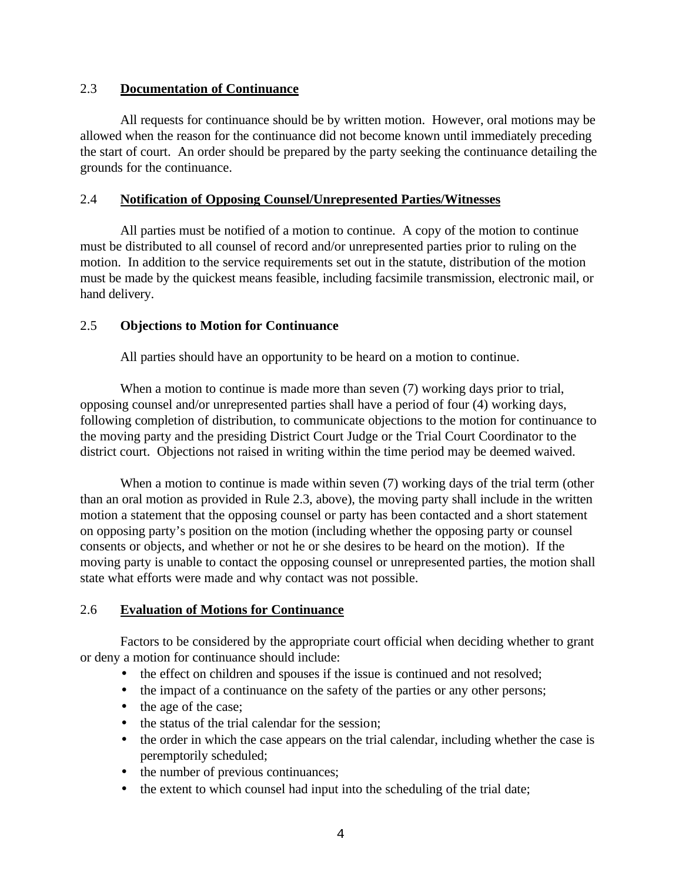## 2.3 **Documentation of Continuance**

All requests for continuance should be by written motion. However, oral motions may be allowed when the reason for the continuance did not become known until immediately preceding the start of court. An order should be prepared by the party seeking the continuance detailing the grounds for the continuance.

## 2.4 **Notification of Opposing Counsel/Unrepresented Parties/Witnesses**

All parties must be notified of a motion to continue. A copy of the motion to continue must be distributed to all counsel of record and/or unrepresented parties prior to ruling on the motion. In addition to the service requirements set out in the statute, distribution of the motion must be made by the quickest means feasible, including facsimile transmission, electronic mail, or hand delivery.

## 2.5 **Objections to Motion for Continuance**

All parties should have an opportunity to be heard on a motion to continue.

When a motion to continue is made more than seven (7) working days prior to trial, opposing counsel and/or unrepresented parties shall have a period of four (4) working days, following completion of distribution, to communicate objections to the motion for continuance to the moving party and the presiding District Court Judge or the Trial Court Coordinator to the district court. Objections not raised in writing within the time period may be deemed waived.

When a motion to continue is made within seven (7) working days of the trial term (other than an oral motion as provided in Rule 2.3, above), the moving party shall include in the written motion a statement that the opposing counsel or party has been contacted and a short statement on opposing party's position on the motion (including whether the opposing party or counsel consents or objects, and whether or not he or she desires to be heard on the motion). If the moving party is unable to contact the opposing counsel or unrepresented parties, the motion shall state what efforts were made and why contact was not possible.

## 2.6 **Evaluation of Motions for Continuance**

Factors to be considered by the appropriate court official when deciding whether to grant or deny a motion for continuance should include:

- the effect on children and spouses if the issue is continued and not resolved;
- the impact of a continuance on the safety of the parties or any other persons;
- the age of the case;
- the status of the trial calendar for the session:
- the order in which the case appears on the trial calendar, including whether the case is peremptorily scheduled;
- the number of previous continuances;
- the extent to which counsel had input into the scheduling of the trial date;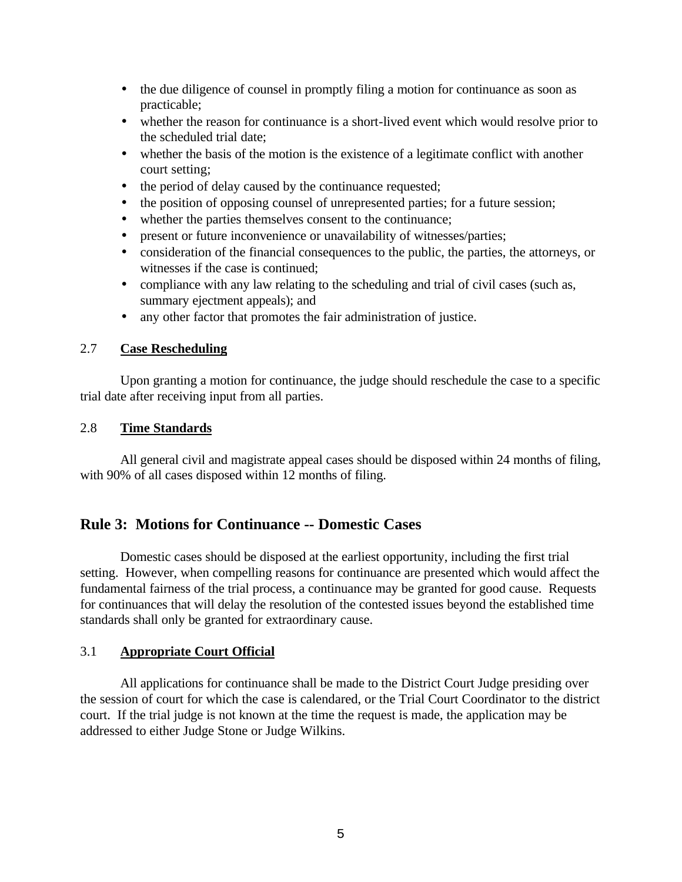- the due diligence of counsel in promptly filing a motion for continuance as soon as practicable;
- whether the reason for continuance is a short-lived event which would resolve prior to the scheduled trial date;
- whether the basis of the motion is the existence of a legitimate conflict with another court setting;
- the period of delay caused by the continuance requested;
- the position of opposing counsel of unrepresented parties; for a future session;
- whether the parties themselves consent to the continuance;
- present or future inconvenience or unavailability of witnesses/parties;
- consideration of the financial consequences to the public, the parties, the attorneys, or witnesses if the case is continued;
- compliance with any law relating to the scheduling and trial of civil cases (such as, summary ejectment appeals); and
- any other factor that promotes the fair administration of justice.

#### 2.7 **Case Rescheduling**

Upon granting a motion for continuance, the judge should reschedule the case to a specific trial date after receiving input from all parties.

#### 2.8 **Time Standards**

All general civil and magistrate appeal cases should be disposed within 24 months of filing, with 90% of all cases disposed within 12 months of filing.

## **Rule 3: Motions for Continuance -- Domestic Cases**

Domestic cases should be disposed at the earliest opportunity, including the first trial setting. However, when compelling reasons for continuance are presented which would affect the fundamental fairness of the trial process, a continuance may be granted for good cause. Requests for continuances that will delay the resolution of the contested issues beyond the established time standards shall only be granted for extraordinary cause.

## 3.1 **Appropriate Court Official**

All applications for continuance shall be made to the District Court Judge presiding over the session of court for which the case is calendared, or the Trial Court Coordinator to the district court. If the trial judge is not known at the time the request is made, the application may be addressed to either Judge Stone or Judge Wilkins.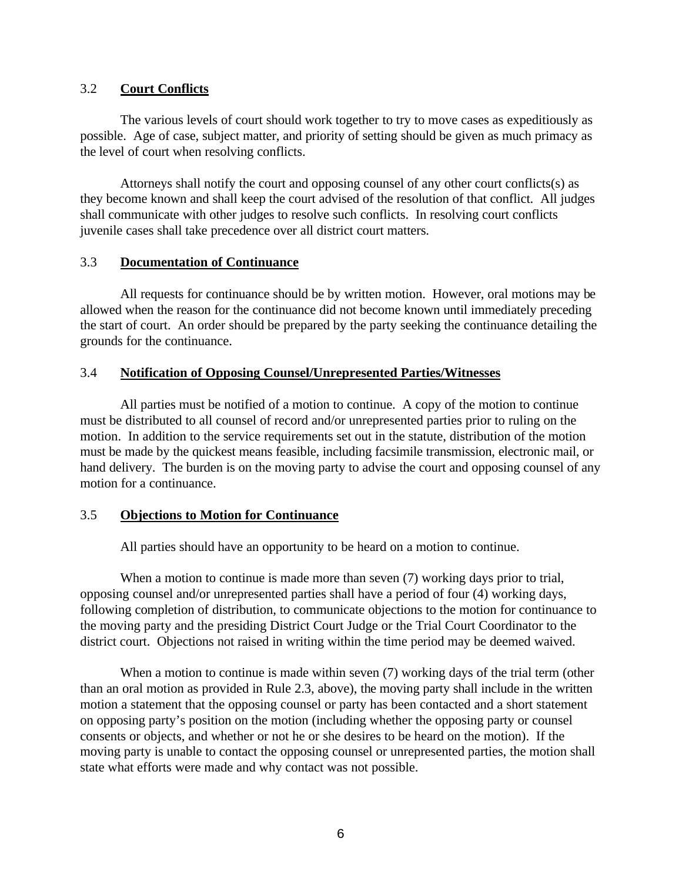#### 3.2 **Court Conflicts**

The various levels of court should work together to try to move cases as expeditiously as possible. Age of case, subject matter, and priority of setting should be given as much primacy as the level of court when resolving conflicts.

Attorneys shall notify the court and opposing counsel of any other court conflicts(s) as they become known and shall keep the court advised of the resolution of that conflict. All judges shall communicate with other judges to resolve such conflicts. In resolving court conflicts juvenile cases shall take precedence over all district court matters.

#### 3.3 **Documentation of Continuance**

All requests for continuance should be by written motion. However, oral motions may be allowed when the reason for the continuance did not become known until immediately preceding the start of court. An order should be prepared by the party seeking the continuance detailing the grounds for the continuance.

## 3.4 **Notification of Opposing Counsel/Unrepresented Parties/Witnesses**

All parties must be notified of a motion to continue. A copy of the motion to continue must be distributed to all counsel of record and/or unrepresented parties prior to ruling on the motion. In addition to the service requirements set out in the statute, distribution of the motion must be made by the quickest means feasible, including facsimile transmission, electronic mail, or hand delivery. The burden is on the moving party to advise the court and opposing counsel of any motion for a continuance.

#### 3.5 **Objections to Motion for Continuance**

All parties should have an opportunity to be heard on a motion to continue.

When a motion to continue is made more than seven (7) working days prior to trial, opposing counsel and/or unrepresented parties shall have a period of four (4) working days, following completion of distribution, to communicate objections to the motion for continuance to the moving party and the presiding District Court Judge or the Trial Court Coordinator to the district court. Objections not raised in writing within the time period may be deemed waived.

When a motion to continue is made within seven (7) working days of the trial term (other than an oral motion as provided in Rule 2.3, above), the moving party shall include in the written motion a statement that the opposing counsel or party has been contacted and a short statement on opposing party's position on the motion (including whether the opposing party or counsel consents or objects, and whether or not he or she desires to be heard on the motion). If the moving party is unable to contact the opposing counsel or unrepresented parties, the motion shall state what efforts were made and why contact was not possible.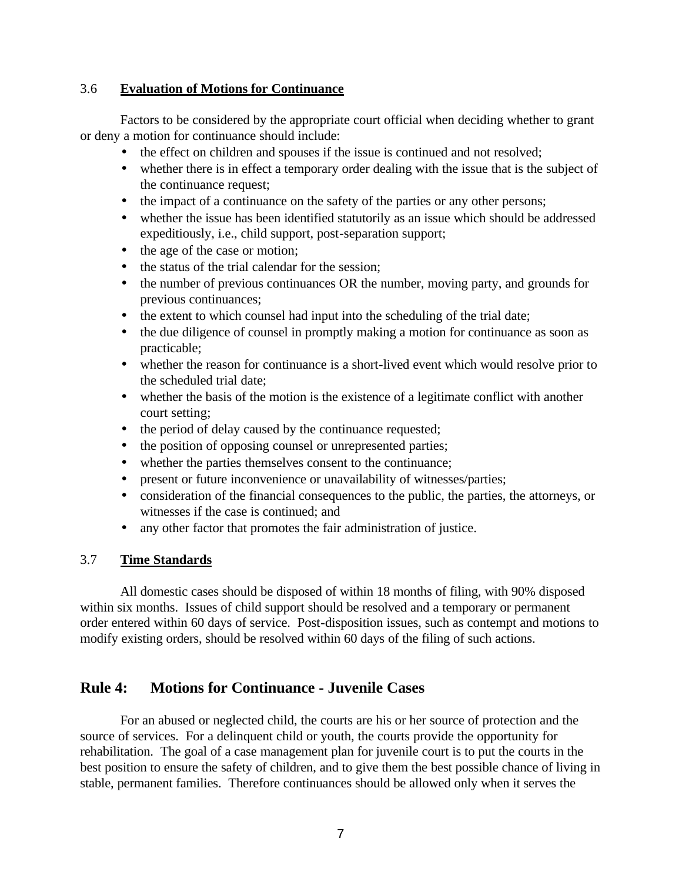#### 3.6 **Evaluation of Motions for Continuance**

Factors to be considered by the appropriate court official when deciding whether to grant or deny a motion for continuance should include:

- the effect on children and spouses if the issue is continued and not resolved;
- whether there is in effect a temporary order dealing with the issue that is the subject of the continuance request;
- the impact of a continuance on the safety of the parties or any other persons;
- whether the issue has been identified statutorily as an issue which should be addressed expeditiously, i.e., child support, post-separation support;
- the age of the case or motion;
- the status of the trial calendar for the session:
- the number of previous continuances OR the number, moving party, and grounds for previous continuances;
- the extent to which counsel had input into the scheduling of the trial date;
- the due diligence of counsel in promptly making a motion for continuance as soon as practicable;
- whether the reason for continuance is a short-lived event which would resolve prior to the scheduled trial date;
- whether the basis of the motion is the existence of a legitimate conflict with another court setting;
- the period of delay caused by the continuance requested;
- the position of opposing counsel or unrepresented parties;
- whether the parties themselves consent to the continuance;
- present or future inconvenience or unavailability of witnesses/parties;
- consideration of the financial consequences to the public, the parties, the attorneys, or witnesses if the case is continued; and
- any other factor that promotes the fair administration of justice.

#### 3.7 **Time Standards**

All domestic cases should be disposed of within 18 months of filing, with 90% disposed within six months. Issues of child support should be resolved and a temporary or permanent order entered within 60 days of service. Post-disposition issues, such as contempt and motions to modify existing orders, should be resolved within 60 days of the filing of such actions.

# **Rule 4: Motions for Continuance - Juvenile Cases**

For an abused or neglected child, the courts are his or her source of protection and the source of services. For a delinquent child or youth, the courts provide the opportunity for rehabilitation. The goal of a case management plan for juvenile court is to put the courts in the best position to ensure the safety of children, and to give them the best possible chance of living in stable, permanent families. Therefore continuances should be allowed only when it serves the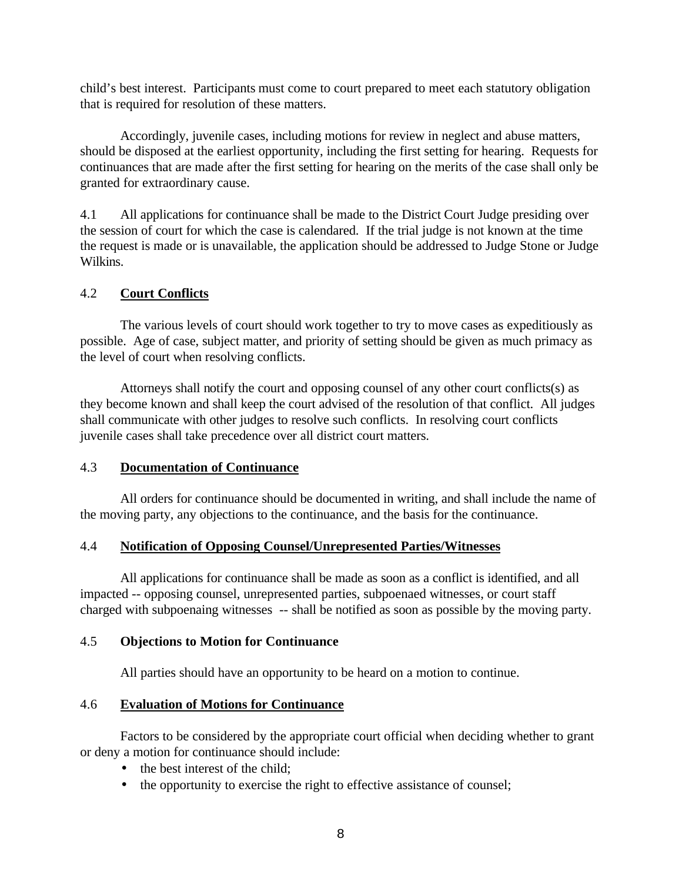child's best interest. Participants must come to court prepared to meet each statutory obligation that is required for resolution of these matters.

Accordingly, juvenile cases, including motions for review in neglect and abuse matters, should be disposed at the earliest opportunity, including the first setting for hearing. Requests for continuances that are made after the first setting for hearing on the merits of the case shall only be granted for extraordinary cause.

4.1 All applications for continuance shall be made to the District Court Judge presiding over the session of court for which the case is calendared. If the trial judge is not known at the time the request is made or is unavailable, the application should be addressed to Judge Stone or Judge Wilkins.

## 4.2 **Court Conflicts**

The various levels of court should work together to try to move cases as expeditiously as possible. Age of case, subject matter, and priority of setting should be given as much primacy as the level of court when resolving conflicts.

Attorneys shall notify the court and opposing counsel of any other court conflicts(s) as they become known and shall keep the court advised of the resolution of that conflict. All judges shall communicate with other judges to resolve such conflicts. In resolving court conflicts juvenile cases shall take precedence over all district court matters.

## 4.3 **Documentation of Continuance**

All orders for continuance should be documented in writing, and shall include the name of the moving party, any objections to the continuance, and the basis for the continuance.

## 4.4 **Notification of Opposing Counsel/Unrepresented Parties/Witnesses**

All applications for continuance shall be made as soon as a conflict is identified, and all impacted -- opposing counsel, unrepresented parties, subpoenaed witnesses, or court staff charged with subpoenaing witnesses -- shall be notified as soon as possible by the moving party.

#### 4.5 **Objections to Motion for Continuance**

All parties should have an opportunity to be heard on a motion to continue.

#### 4.6 **Evaluation of Motions for Continuance**

Factors to be considered by the appropriate court official when deciding whether to grant or deny a motion for continuance should include:

- the best interest of the child;
- the opportunity to exercise the right to effective assistance of counsel;